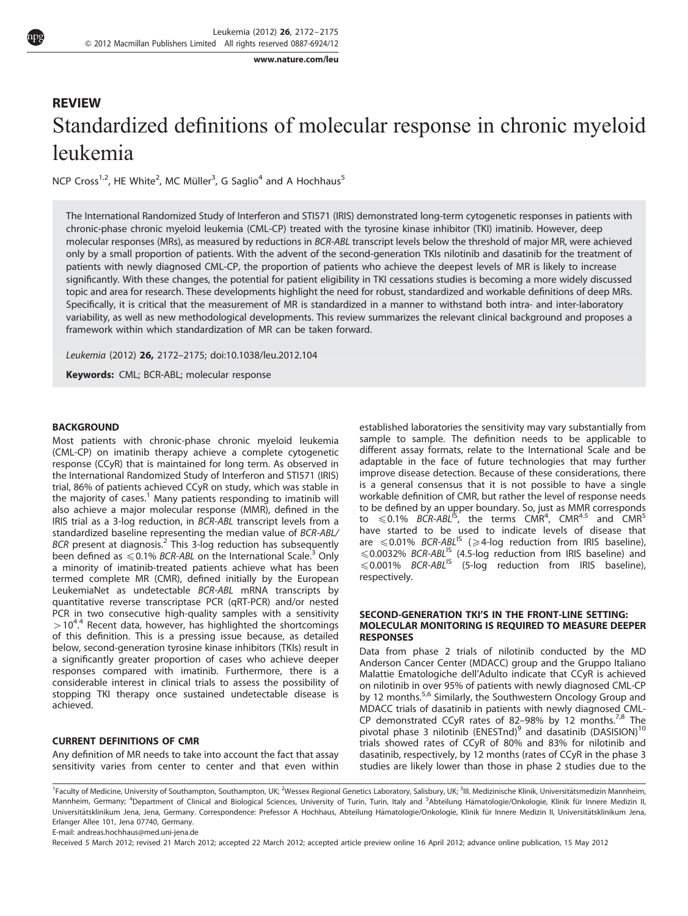[www.nature.com/leu](http://www.nature.com/LEU)

# REVIEW Standardized definitions of molecular response in chronic myeloid leukemia

NCP Cross<sup>1,2</sup>, HE White<sup>2</sup>, MC Müller<sup>3</sup>, G Saglio<sup>4</sup> and A Hochhaus<sup>5</sup>

The International Randomized Study of Interferon and STI571 (IRIS) demonstrated long-term cytogenetic responses in patients with chronic-phase chronic myeloid leukemia (CML-CP) treated with the tyrosine kinase inhibitor (TKI) imatinib. However, deep molecular responses (MRs), as measured by reductions in BCR-ABL transcript levels below the threshold of major MR, were achieved only by a small proportion of patients. With the advent of the second-generation TKIs nilotinib and dasatinib for the treatment of patients with newly diagnosed CML-CP, the proportion of patients who achieve the deepest levels of MR is likely to increase significantly. With these changes, the potential for patient eligibility in TKI cessations studies is becoming a more widely discussed topic and area for research. These developments highlight the need for robust, standardized and workable definitions of deep MRs. Specifically, it is critical that the measurement of MR is standardized in a manner to withstand both intra- and inter-laboratory variability, as well as new methodological developments. This review summarizes the relevant clinical background and proposes a framework within which standardization of MR can be taken forward.

Leukemia (2012) 26, 2172–2175; doi:[10.1038/leu.2012.104](http://dx.doi.org/10.1038/leu.2012.104)

Keywords: CML; BCR-ABL; molecular response

#### **BACKGROUND**

Most patients with chronic-phase chronic myeloid leukemia (CML-CP) on imatinib therapy achieve a complete cytogenetic response (CCyR) that is maintained for long term. As observed in the International Randomized Study of Interferon and STI571 (IRIS) trial, 86% of patients achieved CCyR on study, which was stable in the majority of cases.<sup>[1](#page-3-0)</sup> Many patients responding to imatinib will also achieve a major molecular response (MMR), defined in the IRIS trial as a 3-log reduction, in BCR-ABL transcript levels from a standardized baseline representing the median value of BCR-ABL/  $BCR$  present at diagnosis.<sup>[2](#page-3-0)</sup> This 3-log reduction has subsequently been defined as  $\leq 0.1\%$  BCR-ABL on the International Scale.<sup>[3](#page-3-0)</sup> Only a minority of imatinib-treated patients achieve what has been termed complete MR (CMR), defined initially by the European LeukemiaNet as undetectable BCR-ABL mRNA transcripts by quantitative reverse transcriptase PCR (qRT-PCR) and/or nested PCR in two consecutive high-quality samples with a sensitivity  $>$  10<sup>[4](#page-3-0),4</sup> Recent data, however, has highlighted the shortcomings . of this definition. This is a pressing issue because, as detailed below, second-generation tyrosine kinase inhibitors (TKIs) result in a significantly greater proportion of cases who achieve deeper responses compared with imatinib. Furthermore, there is a considerable interest in clinical trials to assess the possibility of stopping TKI therapy once sustained undetectable disease is achieved.

## CURRENT DEFINITIONS OF CMR

Any definition of MR needs to take into account the fact that assay sensitivity varies from center to center and that even within established laboratories the sensitivity may vary substantially from sample to sample. The definition needs to be applicable to different assay formats, relate to the International Scale and be adaptable in the face of future technologies that may further improve disease detection. Because of these considerations, there is a general consensus that it is not possible to have a single workable definition of CMR, but rather the level of response needs to be defined by an upper boundary. So, just as MMR corresponds<br>to ≤0.1% *BCR-ABL<sup>IS</sup>,* the terms CMR<sup>4</sup>, CMR<sup>4.5</sup> and CMR<sup>5</sup> have started to be used to indicate levels of disease that<br>are ≤0.01% *BCR-ABL<sup>IS</sup> (≥4-l*og reduction from IRIS baseline),  $\leq 0.0032\%$  BCR-ABL<sup>IS</sup> (4.5-log reduction from IRIS baseline) and  $\leq 0.001\%$  BCR-ABL<sup>IS</sup> (5-log reduction from IRIS baseline), respectively.

#### SECOND-GENERATION TKI'S IN THE FRONT-LINE SETTING: MOLECULAR MONITORING IS REQUIRED TO MEASURE DEEPER RESPONSES

Data from phase 2 trials of nilotinib conducted by the MD Anderson Cancer Center (MDACC) group and the Gruppo Italiano Malattie Ematologiche dell'Adulto indicate that CCyR is achieved on nilotinib in over 95% of patients with newly diagnosed CML-CP by 12 months.<sup>[5,6](#page-3-0)</sup> Similarly, the Southwestern Oncology Group and MDACC trials of dasatinib in patients with newly diagnosed CML-CP demonstrated CCyR rates of 82-98% by 12 months.<sup>[7,8](#page-3-0)</sup> The pivotal phase 3 nilotinib (ENESTnd)<sup>[9](#page-3-0)</sup> and dasatinib (DASISION)<sup>[10](#page-3-0)</sup> trials showed rates of CCyR of 80% and 83% for nilotinib and dasatinib, respectively, by 12 months (rates of CCyR in the phase 3 studies are likely lower than those in phase 2 studies due to the

<sup>1</sup>Faculty of Medicine, University of Southampton, Southampton, UK; <sup>2</sup>Wessex Regional Genetics Laboratory, Salisbury, UK; <sup>3</sup>III. Medizinische Klinik, Universitätsmedizin Mannheim, Mannheim, Germany; <sup>4</sup>Department of Clinical and Biological Sciences, University of Turin, Turin, Italy and <sup>5</sup>Abteilung Hämatologie/Onkologie, Klinik für Innere Medizin II, Universitätsklinikum Jena, Jena, Germany. Correspondence: Prefessor A Hochhaus, Abteilung Hämatologie/Onkologie, Klinik für Innere Medizin II, Universitätsklinikum Jena, Erlanger Allee 101, Jena 07740, Germany.

E-mail: [andreas.hochhaus@med.uni-jena.de](mailto:andreas.hochhaus@med.uni-jena.de)

Received 5 March 2012; revised 21 March 2012; accepted 22 March 2012; accepted article preview online 16 April 2012; advance online publication, 15 May 2012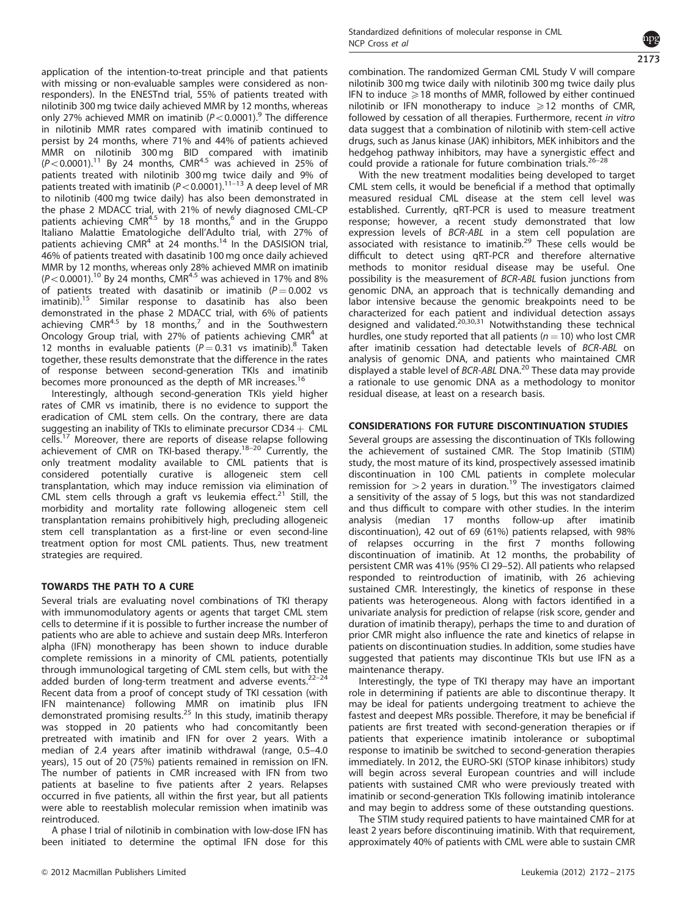application of the intention-to-treat principle and that patients with missing or non-evaluable samples were considered as nonresponders). In the ENESTnd trial, 55% of patients treated with nilotinib 300 mg twice daily achieved MMR by 12 months, whereas only 27% achieved MMR on imatinib ( $P < 0.0001$ ).<sup>[9](#page-3-0)</sup> The difference in nilotinib MMR rates compared with imatinib continued to persist by 24 months, where 71% and 44% of patients achieved MMR on nilotinib 300 mg BID compared with imatinib<br>(P<0.0001).<sup>[11](#page-3-0)</sup> By 24 months, CMR<sup>4.5</sup> was achieved in 25% of patients treated with nilotinib 300 mg twice daily and 9% of patients treated with imatinib ( $P < 0.0001$ ).<sup>11–13</sup> A deep level of MR to nilotinib (400 mg twice daily) has also been demonstrated in the phase 2 MDACC trial, with 21% of newly diagnosed CML-CP patients achieving  $CMR<sup>4.5</sup>$  by 18 months,  $6^{6}$  $6^{6}$  and in the Gruppo Italiano Malattie Ematologiche dell'Adulto trial, with 27% of patients achieving  $CMR<sup>4</sup>$  at 24 months.<sup>[14](#page-3-0)</sup> In the DASISION trial, 46% of patients treated with dasatinib 100 mg once daily achieved MMR by 12 months, whereas only 28% achieved MMR on imatinib  $(P< 0.0001)$ .<sup>[10](#page-3-0)</sup> By 24 months, CMR<sup>4.5</sup> was achieved in 17% and 8% of patients treated with dasatinib or imatinib  $(P = 0.002$  vs imatinib).<sup>[15](#page-3-0)</sup> Similar response to dasatinib has also been demonstrated in the phase 2 MDACC trial, with 6% of patients achieving  $CMR<sup>4.5</sup>$  by 18 months,<sup>[7](#page-3-0)</sup> and in the Southwestern Oncology Group trial, with 27% of patients achieving CMR<sup>4</sup> at 12 months in evaluable patients ( $P = 0.31$  vs imatinib).<sup>[8](#page-3-0)</sup> Taken together, these results demonstrate that the difference in the rates of response between second-generation TKIs and imatinib becomes more pronounced as the depth of MR increases.<sup>[16](#page-3-0)</sup>

Interestingly, although second-generation TKIs yield higher rates of CMR vs imatinib, there is no evidence to support the eradication of CML stem cells. On the contrary, there are data suggesting an inability of TKIs to eliminate precursor  $CD34 + CML$ cells.[17](#page-3-0) Moreover, there are reports of disease relapse following achievement of CMR on TKI-based therapy.[18–20](#page-3-0) Currently, the only treatment modality available to CML patients that is considered potentially curative is allogeneic stem cell transplantation, which may induce remission via elimination of CML stem cells through a graft vs leukemia effect.<sup>[21](#page-3-0)</sup> Still, the morbidity and mortality rate following allogeneic stem cell transplantation remains prohibitively high, precluding allogeneic stem cell transplantation as a first-line or even second-line treatment option for most CML patients. Thus, new treatment strategies are required.

## TOWARDS THE PATH TO A CURE

Several trials are evaluating novel combinations of TKI therapy with immunomodulatory agents or agents that target CML stem cells to determine if it is possible to further increase the number of patients who are able to achieve and sustain deep MRs. Interferon alpha (IFN) monotherapy has been shown to induce durable complete remissions in a minority of CML patients, potentially through immunological targeting of CML stem cells, but with the added burden of long-term treatment and adverse events. $22-24$ Recent data from a proof of concept study of TKI cessation (with IFN maintenance) following MMR on imatinib plus IFN demonstrated promising results.[25](#page-3-0) In this study, imatinib therapy was stopped in 20 patients who had concomitantly been pretreated with imatinib and IFN for over 2 years. With a median of 2.4 years after imatinib withdrawal (range, 0.5–4.0 years), 15 out of 20 (75%) patients remained in remission on IFN. The number of patients in CMR increased with IFN from two patients at baseline to five patients after 2 years. Relapses occurred in five patients, all within the first year, but all patients were able to reestablish molecular remission when imatinib was reintroduced.

A phase I trial of nilotinib in combination with low-dose IFN has been initiated to determine the optimal IFN dose for this 2173

combination. The randomized German CML Study V will compare nilotinib 300 mg twice daily with nilotinib 300 mg twice daily plus IFN to induce  $\geqslant$  18 months of MMR, followed by either continued nilotinib or IFN monotherapy to induce  $\geq 12$  months of CMR, followed by cessation of all therapies. Furthermore, recent in vitro data suggest that a combination of nilotinib with stem-cell active drugs, such as Janus kinase (JAK) inhibitors, MEK inhibitors and the hedgehog pathway inhibitors, may have a synergistic effect and could provide a rationale for future combination trials.<sup>26-28</sup>

With the new treatment modalities being developed to target CML stem cells, it would be beneficial if a method that optimally measured residual CML disease at the stem cell level was established. Currently, qRT-PCR is used to measure treatment response; however, a recent study demonstrated that low expression levels of BCR-ABL in a stem cell population are associated with resistance to imatinib.<sup>29</sup> These cells would be difficult to detect using qRT-PCR and therefore alternative methods to monitor residual disease may be useful. One possibility is the measurement of BCR-ABL fusion junctions from genomic DNA, an approach that is technically demanding and labor intensive because the genomic breakpoints need to be characterized for each patient and individual detection assays designed and validated.<sup>[20,30,31](#page-3-0)</sup> Notwithstanding these technical hurdles, one study reported that all patients ( $n = 10$ ) who lost CMR after imatinib cessation had detectable levels of BCR-ABL on analysis of genomic DNA, and patients who maintained CMR displayed a stable level of BCR-ABL DNA.<sup>[20](#page-3-0)</sup> These data may provide a rationale to use genomic DNA as a methodology to monitor residual disease, at least on a research basis.

# CONSIDERATIONS FOR FUTURE DISCONTINUATION STUDIES

Several groups are assessing the discontinuation of TKIs following the achievement of sustained CMR. The Stop Imatinib (STIM) study, the most mature of its kind, prospectively assessed imatinib discontinuation in 100 CML patients in complete molecular remission for  $>$ 2 years in duration.<sup>[19](#page-3-0)</sup> The investigators claimed a sensitivity of the assay of 5 logs, but this was not standardized and thus difficult to compare with other studies. In the interim analysis (median 17 months follow-up after imatinib discontinuation), 42 out of 69 (61%) patients relapsed, with 98% of relapses occurring in the first 7 months following discontinuation of imatinib. At 12 months, the probability of persistent CMR was 41% (95% CI 29–52). All patients who relapsed responded to reintroduction of imatinib, with 26 achieving sustained CMR. Interestingly, the kinetics of response in these patients was heterogeneous. Along with factors identified in a univariate analysis for prediction of relapse (risk score, gender and duration of imatinib therapy), perhaps the time to and duration of prior CMR might also influence the rate and kinetics of relapse in patients on discontinuation studies. In addition, some studies have suggested that patients may discontinue TKIs but use IFN as a maintenance therapy.

Interestingly, the type of TKI therapy may have an important role in determining if patients are able to discontinue therapy. It may be ideal for patients undergoing treatment to achieve the fastest and deepest MRs possible. Therefore, it may be beneficial if patients are first treated with second-generation therapies or if patients that experience imatinib intolerance or suboptimal response to imatinib be switched to second-generation therapies immediately. In 2012, the EURO-SKI (STOP kinase inhibitors) study will begin across several European countries and will include patients with sustained CMR who were previously treated with imatinib or second-generation TKIs following imatinib intolerance and may begin to address some of these outstanding questions.

The STIM study required patients to have maintained CMR for at least 2 years before discontinuing imatinib. With that requirement, approximately 40% of patients with CML were able to sustain CMR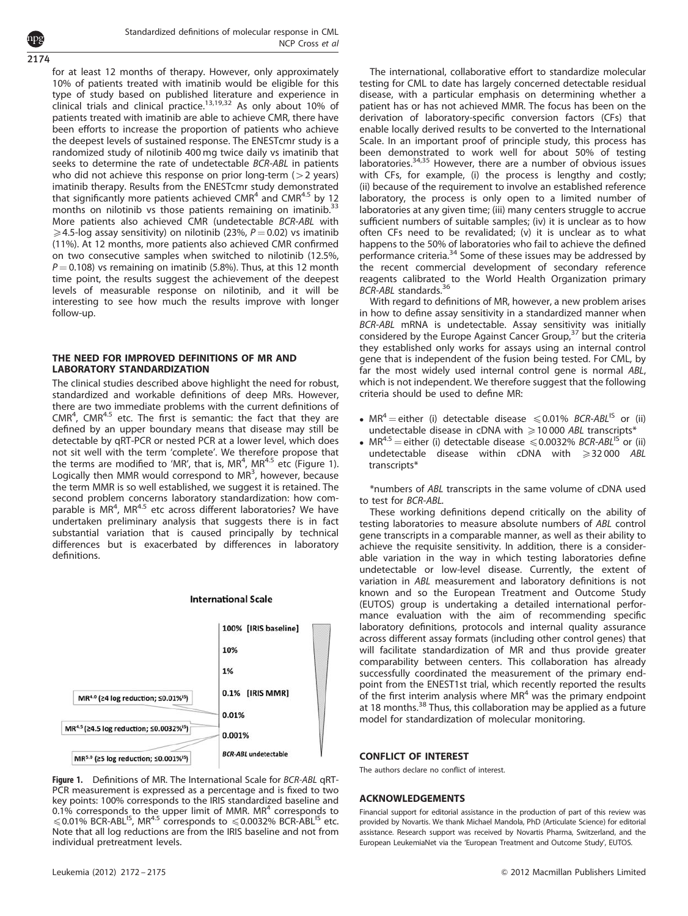2174

for at least 12 months of therapy. However, only approximately 10% of patients treated with imatinib would be eligible for this type of study based on published literature and experience in clinical trials and clinical practice.<sup>[13,19,32](#page-3-0)</sup> As only about 10% of patients treated with imatinib are able to achieve CMR, there have been efforts to increase the proportion of patients who achieve the deepest levels of sustained response. The ENESTcmr study is a randomized study of nilotinib 400 mg twice daily vs imatinib that seeks to determine the rate of undetectable BCR-ABL in patients who did not achieve this response on prior long-term  $(>2$  years) imatinib therapy. Results from the ENESTcmr study demonstrated that significantly more patients achieved  $CMR<sup>4</sup>$  and  $CMR<sup>4.5</sup>$  by 12 months on nilotinib vs those patients remaining on imatinib.<sup>[33](#page-3-0)</sup> More patients also achieved CMR (undetectable BCR-ABL with  $\geqslant$  4.5-log assay sensitivity) on nilotinib (23%, P = 0.02) vs imatinib (11%). At 12 months, more patients also achieved CMR confirmed on two consecutive samples when switched to nilotinib (12.5%,  $P = 0.108$ ) vs remaining on imatinib (5.8%). Thus, at this 12 month time point, the results suggest the achievement of the deepest levels of measurable response on nilotinib, and it will be interesting to see how much the results improve with longer follow-up.

## THE NEED FOR IMPROVED DEFINITIONS OF MR AND LABORATORY STANDARDIZATION

The clinical studies described above highlight the need for robust, standardized and workable definitions of deep MRs. However, there are two immediate problems with the current definitions of  $CMR<sup>4</sup>$ , CMR<sup>4.5</sup> etc. The first is semantic: the fact that they are defined by an upper boundary means that disease may still be detectable by qRT-PCR or nested PCR at a lower level, which does not sit well with the term 'complete'. We therefore propose that the terms are modified to 'MR', that is, MR<sup>4</sup>, MR<sup>4.5</sup> etc (Figure 1). Logically then MMR would correspond to MR<sup>3</sup>, however, because the term MMR is so well established, we suggest it is retained. The second problem concerns laboratory standardization: how comparable is MR<sup>4</sup>, MR<sup>4.5</sup> etc across different laboratories? We have undertaken preliminary analysis that suggests there is in fact substantial variation that is caused principally by technical differences but is exacerbated by differences in laboratory definitions.



**International Scale** 

Figure 1. Definitions of MR. The International Scale for BCR-ABL qRT-PCR measurement is expressed as a percentage and is fixed to two key points: 100% corresponds to the IRIS standardized baseline and  $0.1\%$  corresponds to the upper limit of MMR. MR<sup>4</sup> corresponds to  $\leqslant$  0.01% BCR-ABL<sup>IS</sup>, MR<sup>4.5</sup> corresponds to  $\leqslant$  0.0032% BCR-ABL<sup>IS</sup> etc. Note that all log reductions are from the IRIS baseline and not from individual pretreatment levels.

The international, collaborative effort to standardize molecular testing for CML to date has largely concerned detectable residual disease, with a particular emphasis on determining whether a patient has or has not achieved MMR. The focus has been on the derivation of laboratory-specific conversion factors (CFs) that enable locally derived results to be converted to the International Scale. In an important proof of principle study, this process has been demonstrated to work well for about 50% of testing laboratories.[34,35](#page-3-0) However, there are a number of obvious issues with CFs, for example, (i) the process is lengthy and costly; (ii) because of the requirement to involve an established reference laboratory, the process is only open to a limited number of laboratories at any given time; (iii) many centers struggle to accrue sufficient numbers of suitable samples; (iv) it is unclear as to how often CFs need to be revalidated; (v) it is unclear as to what happens to the 50% of laboratories who fail to achieve the defined performance criteria.[34](#page-3-0) Some of these issues may be addressed by the recent commercial development of secondary reference reagents calibrated to the World Health Organization primary BCR-ABL standards.<sup>[36](#page-3-0)</sup>

With regard to definitions of MR, however, a new problem arises in how to define assay sensitivity in a standardized manner when BCR-ABL mRNA is undetectable. Assay sensitivity was initially considered by the Europe Against Cancer Group,<sup>[37](#page-3-0)</sup> but the criteria they established only works for assays using an internal control gene that is independent of the fusion being tested. For CML, by far the most widely used internal control gene is normal ABL, which is not independent. We therefore suggest that the following criteria should be used to define MR:

- $MR^4$  = either (i) detectable disease  $\leq 0.01\%$  BCR-ABL<sup>IS</sup> or (ii) undetectable disease in cDNA with  $\geq 10000$  ABL transcripts\*
- $MR^{4.5}$  = either (i) detectable disease  $\leq 0.0032\%$  BCR-ABL<sup>IS</sup> or (ii) undetectable disease within cDNA with  $\geq 32000$  ABL transcripts\*

\*numbers of ABL transcripts in the same volume of cDNA used to test for BCR-ABL.

These working definitions depend critically on the ability of testing laboratories to measure absolute numbers of ABL control gene transcripts in a comparable manner, as well as their ability to achieve the requisite sensitivity. In addition, there is a considerable variation in the way in which testing laboratories define undetectable or low-level disease. Currently, the extent of variation in ABL measurement and laboratory definitions is not known and so the European Treatment and Outcome Study (EUTOS) group is undertaking a detailed international performance evaluation with the aim of recommending specific laboratory definitions, protocols and internal quality assurance across different assay formats (including other control genes) that will facilitate standardization of MR and thus provide greater comparability between centers. This collaboration has already successfully coordinated the measurement of the primary endpoint from the ENEST1st trial, which recently reported the results of the first interim analysis where  $MR<sup>4</sup>$  was the primary endpoint at 18 months.<sup>[38](#page-3-0)</sup> Thus, this collaboration may be applied as a future model for standardization of molecular monitoring.

#### CONFLICT OF INTEREST

The authors declare no conflict of interest.

#### ACKNOWLEDGEMENTS

Financial support for editorial assistance in the production of part of this review was provided by Novartis. We thank Michael Mandola, PhD (Articulate Science) for editorial assistance. Research support was received by Novartis Pharma, Switzerland, and the European LeukemiaNet via the 'European Treatment and Outcome Study', EUTOS.